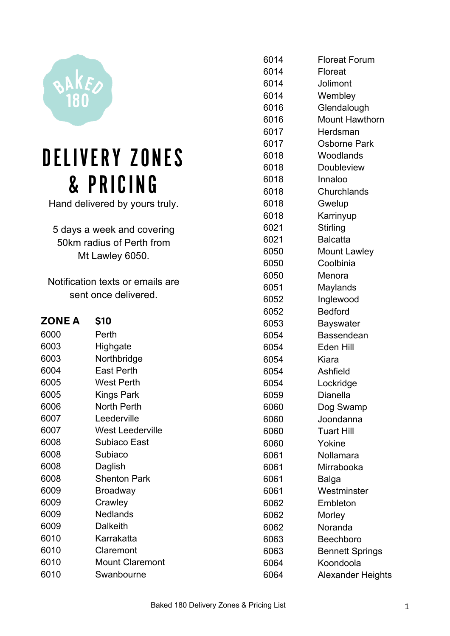

## DELIVERY ZONES & PRICING

Hand delivered by yours truly.

 days a week and covering 50km radius of Perth from Mt Lawley 6050.

Notification texts or emails are sent once delivered.

| <b>ZONE A</b> | \$10                |
|---------------|---------------------|
| 6000          | Perth               |
| 6003          | Highgate            |
| 6003          | Northbridge         |
| 6004          | East Perth          |
| 6005          | <b>West Perth</b>   |
| 6005          | Kings Park          |
| 6006          | <b>North Perth</b>  |
| 6007          | Leederville         |
| 6007          | West Leederville    |
| 6008          | Subiaco East        |
| 6008          | Subiaco             |
| 6008          | Daglish             |
| 6008          | <b>Shenton Park</b> |
| 6009          | Broadway            |
| 6009          | Crawley             |
| 6009          | Nedlands            |
| 6009          | Dalkeith            |
| 6010          | Karrakatta          |
| 6010          | Claremont           |
| 6010          | Mount Claremont     |
| 6010          | Swanbourne          |

| 6014 | <b>Floreat Forum</b>   |
|------|------------------------|
| 6014 | <b>Floreat</b>         |
| 6014 | Jolimont               |
| 6014 | Wembley                |
| 6016 | Glendalough            |
| 6016 | <b>Mount Hawthorn</b>  |
| 6017 | Herdsman               |
| 6017 | Osborne Park           |
| 6018 | Woodlands              |
| 6018 | <b>Doubleview</b>      |
| 6018 | Innaloo                |
| 6018 | Churchlands            |
| 6018 | Gwelup                 |
| 6018 | Karrinyup              |
| 6021 | Stirling               |
| 6021 | <b>Balcatta</b>        |
| 6050 | <b>Mount Lawley</b>    |
| 6050 | Coolbinia              |
| 6050 | Menora                 |
| 6051 | Maylands               |
| 6052 | Inglewood              |
| 6052 | <b>Bedford</b>         |
| 6053 | <b>Bayswater</b>       |
| 6054 | Bassendean             |
| 6054 | Eden Hill              |
| 6054 | Kiara                  |
| 6054 | Ashfield               |
| 6054 | Lockridge              |
| 6059 | <b>Dianella</b>        |
| 6060 | Dog Swamp              |
| 6060 | Joondanna              |
| 6060 | Tuart Hill             |
| 6060 | Yokine                 |
| 6061 | Nollamara              |
| 6061 | Mirrabooka             |
| 6061 | Balga                  |
| 6061 | Westminster            |
| 6062 | Embleton               |
| 6062 | Morley                 |
| 6062 | Noranda                |
| 6063 | <b>Beechboro</b>       |
| 6063 | <b>Bennett Springs</b> |
| 6064 | Koondoola              |
| 6064 | Alexander Heights      |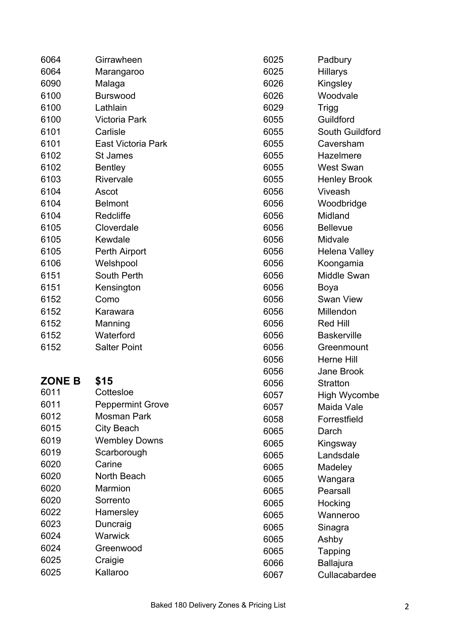| 6064          | Girrawheen              | 6025 | Padbury              |
|---------------|-------------------------|------|----------------------|
| 6064          | Marangaroo              | 6025 | Hillarys             |
| 6090          | Malaga                  | 6026 | Kingsley             |
| 6100          | <b>Burswood</b>         | 6026 | Woodvale             |
| 6100          | Lathlain                | 6029 | <b>Trigg</b>         |
| 6100          | <b>Victoria Park</b>    | 6055 | Guildford            |
| 6101          | Carlisle                | 6055 | South Guildford      |
| 6101          | East Victoria Park      | 6055 | Caversham            |
| 6102          | <b>St James</b>         | 6055 | Hazelmere            |
| 6102          | <b>Bentley</b>          | 6055 | <b>West Swan</b>     |
| 6103          | Rivervale               | 6055 | <b>Henley Brook</b>  |
| 6104          | Ascot                   | 6056 | Viveash              |
| 6104          | <b>Belmont</b>          | 6056 | Woodbridge           |
| 6104          | Redcliffe               | 6056 | Midland              |
| 6105          | Cloverdale              | 6056 | <b>Bellevue</b>      |
| 6105          | Kewdale                 | 6056 | Midvale              |
| 6105          | Perth Airport           | 6056 | <b>Helena Valley</b> |
| 6106          | Welshpool               | 6056 | Koongamia            |
| 6151          | South Perth             | 6056 | <b>Middle Swan</b>   |
| 6151          | Kensington              | 6056 | Boya                 |
| 6152          | Como                    | 6056 | <b>Swan View</b>     |
| 6152          | Karawara                | 6056 | Millendon            |
| 6152          | Manning                 | 6056 | <b>Red Hill</b>      |
| 6152          | Waterford               | 6056 | <b>Baskerville</b>   |
| 6152          | <b>Salter Point</b>     | 6056 | Greenmount           |
|               |                         | 6056 | Herne Hill           |
|               |                         | 6056 | Jane Brook           |
| <b>ZONE B</b> | \$15                    | 6056 | <b>Stratton</b>      |
| 6011          | Cottesloe               | 6057 | High Wycombe         |
| 6011          | <b>Peppermint Grove</b> | 6057 | Maida Vale           |
| 6012          | <b>Mosman Park</b>      | 6058 | Forrestfield         |
| 6015          | <b>City Beach</b>       | 6065 | Darch                |
| 6019          | <b>Wembley Downs</b>    | 6065 | Kingsway             |
| 6019          | Scarborough             | 6065 | Landsdale            |
| 6020          | Carine                  | 6065 | Madeley              |
| 6020          | North Beach             | 6065 | Wangara              |
| 6020          | Marmion                 | 6065 | Pearsall             |
| 6020          | Sorrento                | 6065 | Hocking              |
| 6022          | Hamersley               | 6065 | Wanneroo             |
| 6023          | Duncraig                | 6065 | Sinagra              |
| 6024          | Warwick                 | 6065 | Ashby                |
| 6024          | Greenwood               | 6065 | Tapping              |
| 6025          | Craigie                 | 6066 | <b>Ballajura</b>     |
| 6025          | Kallaroo                | 6067 | Cullacabardee        |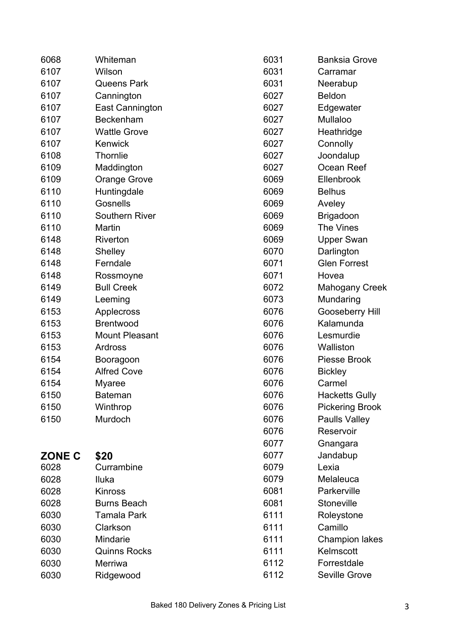| 6068          | Whiteman               | 6031 | <b>Banksia Grove</b>   |
|---------------|------------------------|------|------------------------|
| 6107          | Wilson                 | 6031 | Carramar               |
| 6107          | <b>Queens Park</b>     | 6031 | Neerabup               |
| 6107          | Cannington             | 6027 | <b>Beldon</b>          |
| 6107          | <b>East Cannington</b> | 6027 | Edgewater              |
| 6107          | Beckenham              | 6027 | Mullaloo               |
| 6107          | <b>Wattle Grove</b>    | 6027 | Heathridge             |
| 6107          | Kenwick                | 6027 | Connolly               |
| 6108          | <b>Thornlie</b>        | 6027 | Joondalup              |
| 6109          | Maddington             | 6027 | Ocean Reef             |
| 6109          | <b>Orange Grove</b>    | 6069 | Ellenbrook             |
| 6110          | Huntingdale            | 6069 | <b>Belhus</b>          |
| 6110          | Gosnells               | 6069 | Aveley                 |
| 6110          | <b>Southern River</b>  | 6069 | <b>Brigadoon</b>       |
| 6110          | Martin                 | 6069 | The Vines              |
| 6148          | Riverton               | 6069 | <b>Upper Swan</b>      |
| 6148          | Shelley                | 6070 | Darlington             |
| 6148          | Ferndale               | 6071 | <b>Glen Forrest</b>    |
| 6148          | Rossmoyne              | 6071 | Hovea                  |
| 6149          | <b>Bull Creek</b>      | 6072 | <b>Mahogany Creek</b>  |
| 6149          | Leeming                | 6073 | Mundaring              |
| 6153          | Applecross             | 6076 | Gooseberry Hill        |
| 6153          | <b>Brentwood</b>       | 6076 | Kalamunda              |
| 6153          | <b>Mount Pleasant</b>  | 6076 | Lesmurdie              |
| 6153          | Ardross                | 6076 | Walliston              |
| 6154          | Booragoon              | 6076 | <b>Piesse Brook</b>    |
| 6154          | <b>Alfred Cove</b>     | 6076 | <b>Bickley</b>         |
| 6154          | <b>Myaree</b>          | 6076 | Carmel                 |
| 6150          | Bateman                | 6076 | <b>Hacketts Gully</b>  |
| 6150          | Winthrop               | 6076 | <b>Pickering Brook</b> |
| 6150          | Murdoch                | 6076 | <b>Paulls Valley</b>   |
|               |                        | 6076 | Reservoir              |
|               |                        | 6077 | Gnangara               |
| <b>ZONE C</b> | \$20                   | 6077 | Jandabup               |
| 6028          | Currambine             | 6079 | Lexia                  |
| 6028          | Iluka                  | 6079 | Melaleuca              |
| 6028          | <b>Kinross</b>         | 6081 | Parkerville            |
| 6028          | <b>Burns Beach</b>     | 6081 | Stoneville             |
| 6030          | <b>Tamala Park</b>     | 6111 | Roleystone             |
| 6030          | Clarkson               | 6111 | Camillo                |
| 6030          | Mindarie               | 6111 | <b>Champion lakes</b>  |
| 6030          | <b>Quinns Rocks</b>    | 6111 | Kelmscott              |
| 6030          | Merriwa                | 6112 | Forrestdale            |
| 6030          | Ridgewood              | 6112 | Seville Grove          |